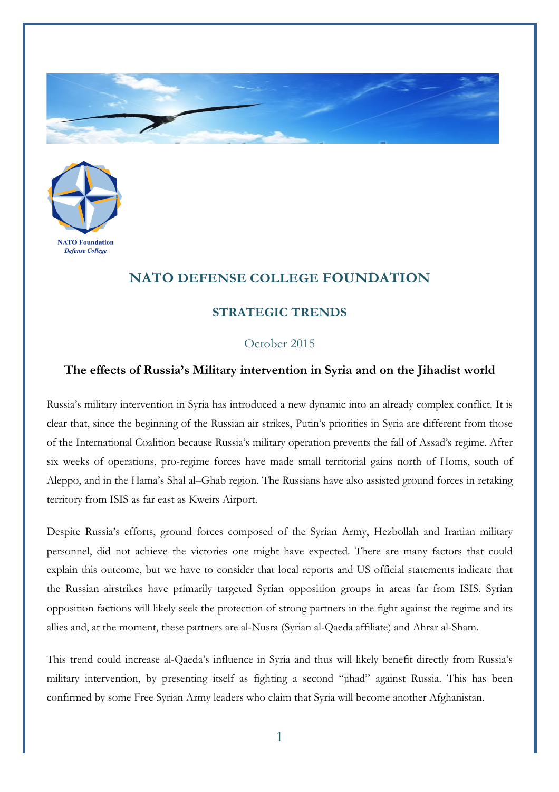



## **NATO DEFENSE COLLEGE FOUNDATION**

## **STRATEGIC TRENDS**

## October 2015

## **The effects of Russia's Military intervention in Syria and on the Jihadist world**

Russia's military intervention in Syria has introduced a new dynamic into an already complex conflict. It is clear that, since the beginning of the Russian air strikes, Putin's priorities in Syria are different from those of the International Coalition because Russia's military operation prevents the fall of Assad's regime. After six weeks of operations, pro-regime forces have made small territorial gains north of Homs, south of Aleppo, and in the Hama's Shal al–Ghab region. The Russians have also assisted ground forces in retaking territory from ISIS as far east as Kweirs Airport.

Despite Russia's efforts, ground forces composed of the Syrian Army, Hezbollah and Iranian military personnel, did not achieve the victories one might have expected. There are many factors that could explain this outcome, but we have to consider that local reports and US official statements indicate that the Russian airstrikes have primarily targeted Syrian opposition groups in areas far from ISIS. Syrian opposition factions will likely seek the protection of strong partners in the fight against the regime and its allies and, at the moment, these partners are al-Nusra (Syrian al-Qaeda affiliate) and Ahrar al-Sham.

This trend could increase al-Qaeda's influence in Syria and thus will likely benefit directly from Russia's military intervention, by presenting itself as fighting a second "jihad" against Russia. This has been confirmed by some Free Syrian Army leaders who claim that Syria will become another Afghanistan.